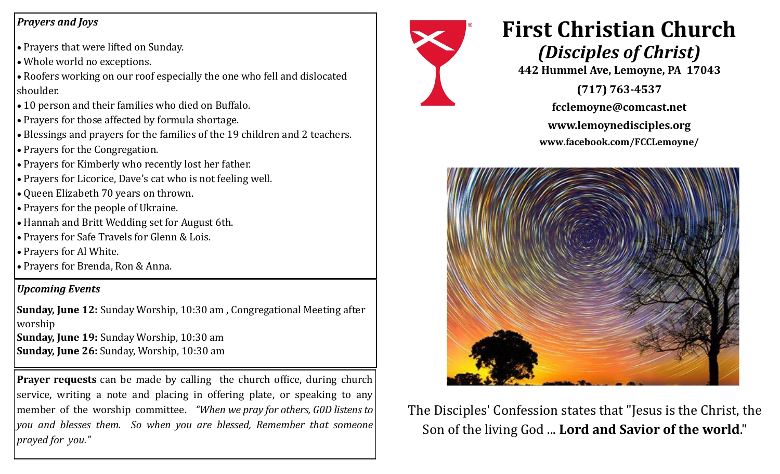## *Prayers and Joys*

- Prayers that were lifted on Sunday.
- Whole world no exceptions.
- Roofers working on our roof especially the one who fell and dislocated shoulder.
- 10 person and their families who died on Buffalo.
- Prayers for those affected by formula shortage.
- Blessings and prayers for the families of the 19 children and 2 teachers.
- Prayers for the Congregation.
- Prayers for Kimberly who recently lost her father.
- Prayers for Licorice, Dave's cat who is not feeling well.
- Queen Elizabeth 70 years on thrown.
- Prayers for the people of Ukraine.
- Hannah and Britt Wedding set for August 6th.
- Prayers for Safe Travels for Glenn & Lois.
- Prayers for Al White.
- Prayers for Brenda, Ron & Anna.

## *Upcoming Events*

**Sunday, June 12:** Sunday Worship, 10:30 am , Congregational Meeting after worship **Sunday, June 19:** Sunday Worship, 10:30 am **Sunday, June 26:** Sunday, Worship, 10:30 am

**Prayer requests** can be made by calling the church office, during church service, writing a note and placing in offering plate, or speaking to any member of the worship committee. *"When we pray for others, G0D listens to you and blesses them. So when you are blessed, Remember that someone prayed for you."* 



## **First Christian Church** *(Disciples of Christ)*

**442 Hummel Ave, Lemoyne, PA 17043** 

**(717) 763-4537 fcclemoyne@comcast.net**

**www.lemoynedisciples.org**

**www.facebook.com/FCCLemoyne/**



The Disciples' Confession states that "Jesus is the Christ, the Son of the living God ... **Lord and Savior of the world**."